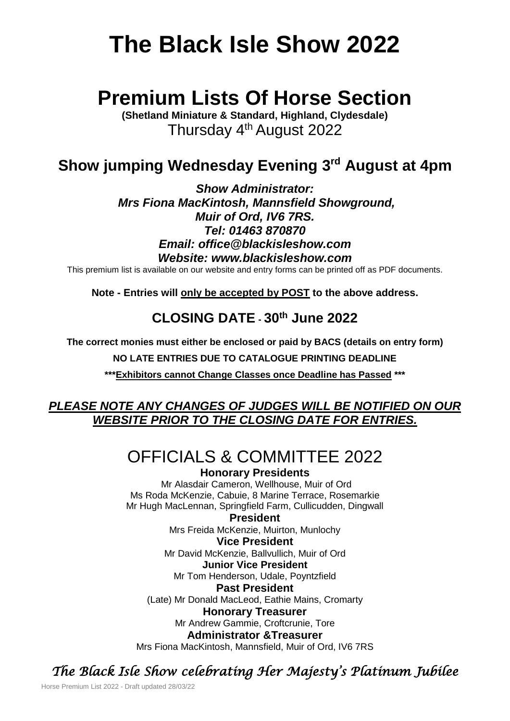# **The Black Isle Show 2022**

# **Premium Lists Of Horse Section**

**(Shetland Miniature & Standard, Highland, Clydesdale)** Thursday 4<sup>th</sup> August 2022

## **Show jumping Wednesday Evening 3 rd August at 4pm**

*Show Administrator: Mrs Fiona MacKintosh, Mannsfield Showground, Muir of Ord, IV6 7RS. Tel: 01463 870870 Email: office@blackisleshow.com Website: www.blackisleshow.com*

This premium list is available on our website and entry forms can be printed off as PDF documents.

**Note - Entries will only be accepted by POST to the above address.**

## **CLOSING DATE - 30th June 2022**

**The correct monies must either be enclosed or paid by BACS (details on entry form)**

**NO LATE ENTRIES DUE TO CATALOGUE PRINTING DEADLINE**

**\*\*\*Exhibitors cannot Change Classes once Deadline has Passed \*\*\***

## *PLEASE NOTE ANY CHANGES OF JUDGES WILL BE NOTIFIED ON OUR WEBSITE PRIOR TO THE CLOSING DATE FOR ENTRIES.*

## OFFICIALS & COMMITTEE 2022 **Honorary Presidents**

Mr Alasdair Cameron, Wellhouse, Muir of Ord Ms Roda McKenzie, Cabuie, 8 Marine Terrace, Rosemarkie Mr Hugh MacLennan, Springfield Farm, Cullicudden, Dingwall

**President** Mrs Freida McKenzie, Muirton, Munlochy

**Vice President** Mr David McKenzie, Ballvullich, Muir of Ord **Junior Vice President**

Mr Tom Henderson, Udale, Poyntzfield

**Past President**

(Late) Mr Donald MacLeod, Eathie Mains, Cromarty

#### **Honorary Treasurer**

Mr Andrew Gammie, Croftcrunie, Tore **Administrator &Treasurer**

Mrs Fiona MacKintosh, Mannsfield, Muir of Ord, IV6 7RS

## *The Black Isle Show celebrating Her Majesty's Platinum Jubilee*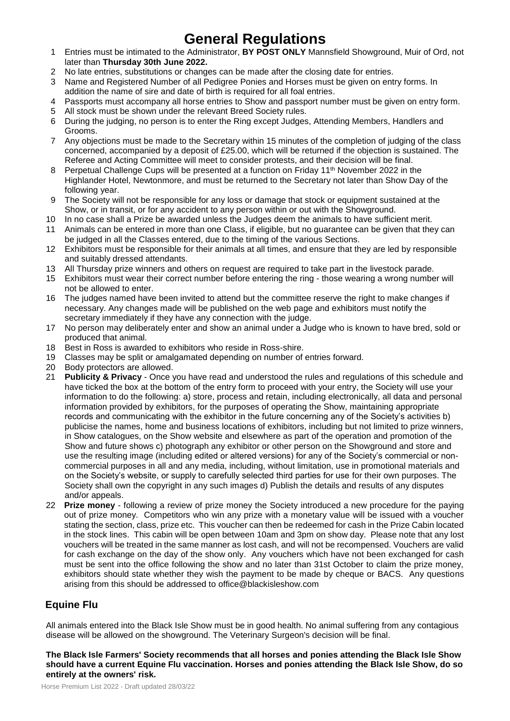## **General Regulations**

- 1.1 Entries must be intimated to the Administrator, **BY POST ONLY** Mannsfield Showground, Muir of Ord, not later than **Thursday 30th June 2022.**
- 2 No late entries, substitutions or changes can be made after the closing date for entries.
- 3 Name and Registered Number of all Pedigree Ponies and Horses must be given on entry forms. In addition the name of sire and date of birth is required for all foal entries.
- 2.4 Passports must accompany all horse entries to Show and passport number must be given on entry form.
- 5 All stock must be shown under the relevant Breed Society rules.
- 6 During the judging, no person is to enter the Ring except Judges, Attending Members, Handlers and Grooms.
- 7 Any objections must be made to the Secretary within 15 minutes of the completion of judging of the class concerned, accompanied by a deposit of £25.00, which will be returned if the objection is sustained. The Referee and Acting Committee will meet to consider protests, and their decision will be final.
- 8 Perpetual Challenge Cups will be presented at a function on Friday 11<sup>th</sup> November 2022 in the Highlander Hotel, Newtonmore, and must be returned to the Secretary not later than Show Day of the following year.
- 9 The Society will not be responsible for any loss or damage that stock or equipment sustained at the Show, or in transit, or for any accident to any person within or out with the Showground.
- 10 In no case shall a Prize be awarded unless the Judges deem the animals to have sufficient merit.
- 11 Animals can be entered in more than one Class, if eligible, but no guarantee can be given that they can be judged in all the Classes entered, due to the timing of the various Sections.
- 12 Exhibitors must be responsible for their animals at all times, and ensure that they are led by responsible and suitably dressed attendants.
- 13 All Thursday prize winners and others on request are required to take part in the livestock parade.
- 15 Exhibitors must wear their correct number before entering the ring those wearing a wrong number will not be allowed to enter.
- 16 The judges named have been invited to attend but the committee reserve the right to make changes if necessary. Any changes made will be published on the web page and exhibitors must notify the secretary immediately if they have any connection with the judge.
- 17 No person may deliberately enter and show an animal under a Judge who is known to have bred, sold or produced that animal.
- 18 Best in Ross is awarded to exhibitors who reside in Ross-shire.
- 19 Classes may be split or amalgamated depending on number of entries forward.
- 20 Body protectors are allowed.
- 21 **Publicity & Privacy** Once you have read and understood the rules and regulations of this schedule and have ticked the box at the bottom of the entry form to proceed with your entry, the Society will use your information to do the following: a) store, process and retain, including electronically, all data and personal information provided by exhibitors, for the purposes of operating the Show, maintaining appropriate records and communicating with the exhibitor in the future concerning any of the Society's activities b) publicise the names, home and business locations of exhibitors, including but not limited to prize winners, in Show catalogues, on the Show website and elsewhere as part of the operation and promotion of the Show and future shows c) photograph any exhibitor or other person on the Showground and store and use the resulting image (including edited or altered versions) for any of the Society's commercial or noncommercial purposes in all and any media, including, without limitation, use in promotional materials and on the Society's website, or supply to carefully selected third parties for use for their own purposes. The Society shall own the copyright in any such images d) Publish the details and results of any disputes and/or appeals.
- 22 **Prize money** following a review of prize money the Society introduced a new procedure for the paying out of prize money. Competitors who win any prize with a monetary value will be issued with a voucher stating the section, class, prize etc. This voucher can then be redeemed for cash in the Prize Cabin located in the stock lines. This cabin will be open between 10am and 3pm on show day. Please note that any lost vouchers will be treated in the same manner as lost cash, and will not be recompensed. Vouchers are valid for cash exchange on the day of the show only. Any vouchers which have not been exchanged for cash must be sent into the office following the show and no later than 31st October to claim the prize money, exhibitors should state whether they wish the payment to be made by cheque or BACS. Any questions arising from this should be addressed to office@blackisleshow.com

## **Equine Flu**

All animals entered into the Black Isle Show must be in good health. No animal suffering from any contagious disease will be allowed on the showground. The Veterinary Surgeon's decision will be final.

#### **The Black Isle Farmers' Society recommends that all horses and ponies attending the Black Isle Show should have a current Equine Flu vaccination. Horses and ponies attending the Black Isle Show, do so entirely at the owners' risk.**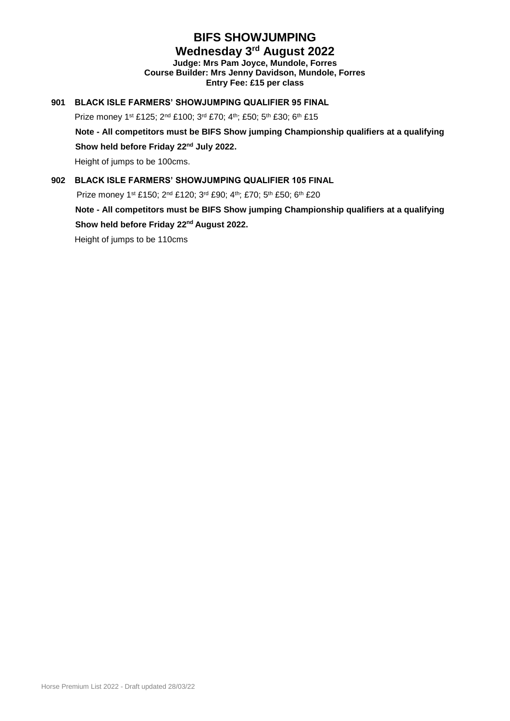## **BIFS SHOWJUMPING Wednesday 3 rd August 2022**

**Judge: Mrs Pam Joyce, Mundole, Forres Course Builder: Mrs Jenny Davidson, Mundole, Forres Entry Fee: £15 per class**

#### **901 BLACK ISLE FARMERS' SHOWJUMPING QUALIFIER 95 FINAL**

Prize money 1st £125; 2nd £100; 3rd £70; 4th; £50; 5th £30; 6th £15

**Note - All competitors must be BIFS Show jumping Championship qualifiers at a qualifying** 

**Show held before Friday 22nd July 2022.**

Height of jumps to be 100cms.

#### **902 BLACK ISLE FARMERS' SHOWJUMPING QUALIFIER 105 FINAL**

Prize money 1st £150; 2nd £120; 3rd £90; 4th; £70; 5th £50; 6th £20

**Note - All competitors must be BIFS Show jumping Championship qualifiers at a qualifying Show held before Friday 22nd August 2022.**

Height of jumps to be 110cms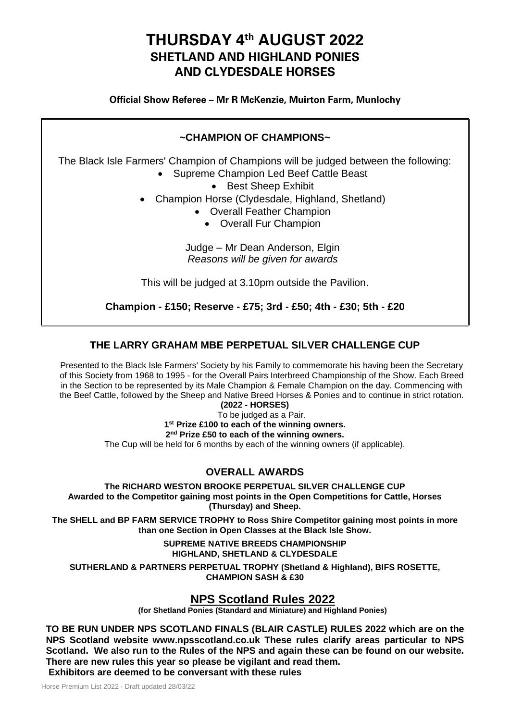## **THURSDAY 4 th AUGUST 2022 SHETLAND AND HIGHLAND PONIES AND CLYDESDALE HORSES**

**Official Show Referee – Mr R McKenzie, Muirton Farm, Munlochy**

### **~CHAMPION OF CHAMPIONS~**

The Black Isle Farmers' Champion of Champions will be judged between the following:

- Supreme Champion Led Beef Cattle Beast
	- Best Sheep Exhibit
- Champion Horse (Clydesdale, Highland, Shetland)
	- Overall Feather Champion
		- Overall Fur Champion

Judge – Mr Dean Anderson, Elgin *Reasons will be given for awards*

This will be judged at 3.10pm outside the Pavilion.

**Champion - £150; Reserve - £75; 3rd - £50; 4th - £30; 5th - £20**

### **THE LARRY GRAHAM MBE PERPETUAL SILVER CHALLENGE CUP**

Presented to the Black Isle Farmers' Society by his Family to commemorate his having been the Secretary of this Society from 1968 to 1995 - for the Overall Pairs Interbreed Championship of the Show. Each Breed in the Section to be represented by its Male Champion & Female Champion on the day. Commencing with the Beef Cattle, followed by the Sheep and Native Breed Horses & Ponies and to continue in strict rotation.

**(2022 - HORSES)**

To be judged as a Pair.

**1 st Prize £100 to each of the winning owners.**

**2 nd Prize £50 to each of the winning owners.**

The Cup will be held for 6 months by each of the winning owners (if applicable).

## **OVERALL AWARDS**

**The RICHARD WESTON BROOKE PERPETUAL SILVER CHALLENGE CUP Awarded to the Competitor gaining most points in the Open Competitions for Cattle, Horses (Thursday) and Sheep.**

**The SHELL and BP FARM SERVICE TROPHY to Ross Shire Competitor gaining most points in more than one Section in Open Classes at the Black Isle Show.**

> **SUPREME NATIVE BREEDS CHAMPIONSHIP HIGHLAND, SHETLAND & CLYDESDALE**

**SUTHERLAND & PARTNERS PERPETUAL TROPHY (Shetland & Highland), BIFS ROSETTE, CHAMPION SASH & £30**

## **NPS Scotland Rules 2022**

**(for Shetland Ponies (Standard and Miniature) and Highland Ponies)**

**TO BE RUN UNDER NPS SCOTLAND FINALS (BLAIR CASTLE) RULES 2022 which are on the NPS Scotland website www.npsscotland.co.uk These rules clarify areas particular to NPS Scotland. We also run to the Rules of the NPS and again these can be found on our website. There are new rules this year so please be vigilant and read them.**

**Exhibitors are deemed to be conversant with these rules**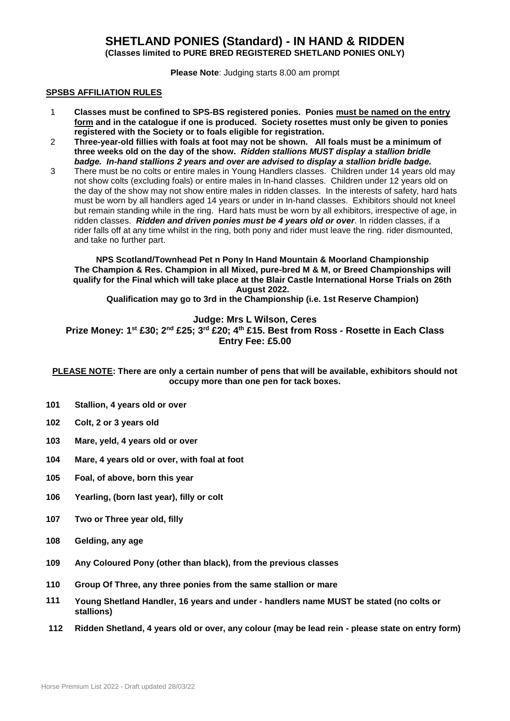## **SHETLAND PONIES (Standard) - IN HAND & RIDDEN**

**(Classes limited to PURE BRED REGISTERED SHETLAND PONIES ONLY)**

**Please Note**: Judging starts 8.00 am prompt

#### **SPSBS AFFILIATION RULES**

- 1 **Classes must be confined to SPS-BS registered ponies. Ponies must be named on the entry form and in the catalogue if one is produced. Society rosettes must only be given to ponies registered with the Society or to foals eligible for registration.**
- 2 **Three-year-old fillies with foals at foot may not be shown. All foals must be a minimum of three weeks old on the day of the show.** *Ridden stallions MUST display a stallion bridle badge. In-hand stallions 2 years and over are advised to display a stallion bridle badge.*
- 3 There must be no colts or entire males in Young Handlers classes. Children under 14 years old may not show colts (excluding foals) or entire males in In-hand classes. Children under 12 years old on the day of the show may not show entire males in ridden classes. In the interests of safety, hard hats must be worn by all handlers aged 14 years or under in In-hand classes. Exhibitors should not kneel but remain standing while in the ring. Hard hats must be worn by all exhibitors, irrespective of age, in ridden classes. *Ridden and driven ponies must be 4 years old or over*. In ridden classes, if a rider falls off at any time whilst in the ring, both pony and rider must leave the ring. rider dismounted, and take no further part.

**NPS Scotland/Townhead Pet n Pony In Hand Mountain & Moorland Championship The Champion & Res. Champion in all Mixed, pure-bred M & M, or Breed Championships will qualify for the Final which will take place at the Blair Castle International Horse Trials on 26th August 2022.** 

**Qualification may go to 3rd in the Championship (i.e. 1st Reserve Champion)**

#### **Judge: Mrs L Wilson, Ceres**

**Prize Money: 1st £30; 2nd £25; 3rd £20; 4th £15. Best from Ross - Rosette in Each Class Entry Fee: £5.00**

**PLEASE NOTE: There are only a certain number of pens that will be available, exhibitors should not occupy more than one pen for tack boxes.**

- **101 Stallion, 4 years old or over**
- **102 Colt, 2 or 3 years old**
- **103 Mare, yeld, 4 years old or over**
- **104 Mare, 4 years old or over, with foal at foot**
- **105 Foal, of above, born this year**
- **106 Yearling, (born last year), filly or colt**
- **107 Two or Three year old, filly**
- **108 Gelding, any age**
- **109 Any Coloured Pony (other than black), from the previous classes**
- **110 Group Of Three, any three ponies from the same stallion or mare**
- **111 Young Shetland Handler, 16 years and under - handlers name MUST be stated (no colts or stallions)**
- **112 Ridden Shetland, 4 years old or over, any colour (may be lead rein - please state on entry form)**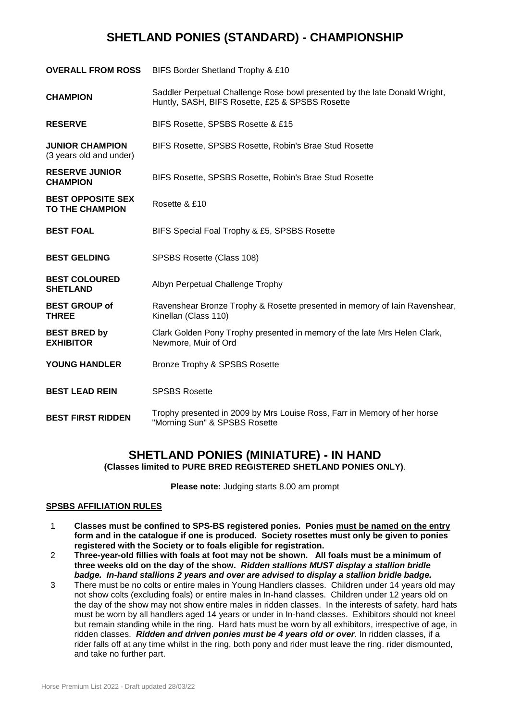## **SHETLAND PONIES (STANDARD) - CHAMPIONSHIP**

| <b>OVERALL FROM ROSS</b>                           | BIFS Border Shetland Trophy & £10                                                                                             |
|----------------------------------------------------|-------------------------------------------------------------------------------------------------------------------------------|
| <b>CHAMPION</b>                                    | Saddler Perpetual Challenge Rose bowl presented by the late Donald Wright,<br>Huntly, SASH, BIFS Rosette, £25 & SPSBS Rosette |
| <b>RESERVE</b>                                     | BIFS Rosette, SPSBS Rosette & £15                                                                                             |
| <b>JUNIOR CHAMPION</b><br>(3 years old and under)  | BIFS Rosette, SPSBS Rosette, Robin's Brae Stud Rosette                                                                        |
| <b>RESERVE JUNIOR</b><br><b>CHAMPION</b>           | BIFS Rosette, SPSBS Rosette, Robin's Brae Stud Rosette                                                                        |
| <b>BEST OPPOSITE SEX</b><br><b>TO THE CHAMPION</b> | Rosette & £10                                                                                                                 |
| <b>BEST FOAL</b>                                   | BIFS Special Foal Trophy & £5, SPSBS Rosette                                                                                  |
| <b>BEST GELDING</b>                                | SPSBS Rosette (Class 108)                                                                                                     |
| <b>BEST COLOURED</b><br><b>SHETLAND</b>            | Albyn Perpetual Challenge Trophy                                                                                              |
| <b>BEST GROUP of</b><br><b>THREE</b>               | Ravenshear Bronze Trophy & Rosette presented in memory of lain Ravenshear,<br>Kinellan (Class 110)                            |
| <b>BEST BRED by</b><br><b>EXHIBITOR</b>            | Clark Golden Pony Trophy presented in memory of the late Mrs Helen Clark,<br>Newmore, Muir of Ord                             |
| <b>YOUNG HANDLER</b>                               | Bronze Trophy & SPSBS Rosette                                                                                                 |
| <b>BEST LEAD REIN</b>                              | <b>SPSBS Rosette</b>                                                                                                          |
| <b>BEST FIRST RIDDEN</b>                           | Trophy presented in 2009 by Mrs Louise Ross, Farr in Memory of her horse<br>"Morning Sun" & SPSBS Rosette                     |

## **SHETLAND PONIES (MINIATURE) - IN HAND**

**(Classes limited to PURE BRED REGISTERED SHETLAND PONIES ONLY)**.

**Please note:** Judging starts 8.00 am prompt

#### **SPSBS AFFILIATION RULES**

- 1 **Classes must be confined to SPS-BS registered ponies. Ponies must be named on the entry form and in the catalogue if one is produced. Society rosettes must only be given to ponies registered with the Society or to foals eligible for registration.**
- 2 **Three-year-old fillies with foals at foot may not be shown. All foals must be a minimum of three weeks old on the day of the show.** *Ridden stallions MUST display a stallion bridle badge. In-hand stallions 2 years and over are advised to display a stallion bridle badge.*
- 3 There must be no colts or entire males in Young Handlers classes. Children under 14 years old may not show colts (excluding foals) or entire males in In-hand classes. Children under 12 years old on the day of the show may not show entire males in ridden classes. In the interests of safety, hard hats must be worn by all handlers aged 14 years or under in In-hand classes. Exhibitors should not kneel but remain standing while in the ring. Hard hats must be worn by all exhibitors, irrespective of age, in ridden classes. *Ridden and driven ponies must be 4 years old or over*. In ridden classes, if a rider falls off at any time whilst in the ring, both pony and rider must leave the ring. rider dismounted, and take no further part.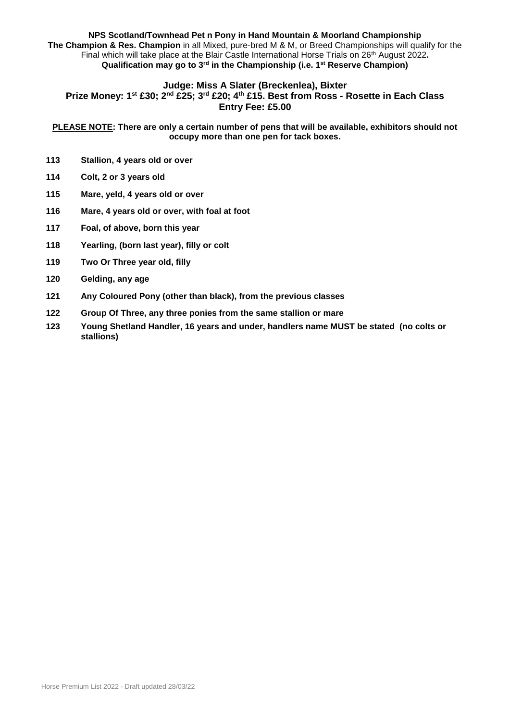#### **NPS Scotland/Townhead Pet n Pony in Hand Mountain & Moorland Championship The Champion & Res. Champion** in all Mixed, pure-bred M & M, or Breed Championships will qualify for the Final which will take place at the Blair Castle International Horse Trials on 26th August 2022**. Qualification may go to 3rd in the Championship (i.e. 1st Reserve Champion)**

#### **Judge: Miss A Slater (Breckenlea), Bixter**

**Prize Money: 1st £30; 2nd £25; 3rd £20; 4th £15. Best from Ross - Rosette in Each Class Entry Fee: £5.00**

**PLEASE NOTE: There are only a certain number of pens that will be available, exhibitors should not occupy more than one pen for tack boxes.**

- **113 Stallion, 4 years old or over**
- **114 Colt, 2 or 3 years old**
- **115 Mare, yeld, 4 years old or over**
- **116 Mare, 4 years old or over, with foal at foot**
- **117 Foal, of above, born this year**
- **118 Yearling, (born last year), filly or colt**
- **119 Two Or Three year old, filly**
- **120 Gelding, any age**
- **121 Any Coloured Pony (other than black), from the previous classes**
- **122 Group Of Three, any three ponies from the same stallion or mare**
- **123 Young Shetland Handler, 16 years and under, handlers name MUST be stated (no colts or stallions)**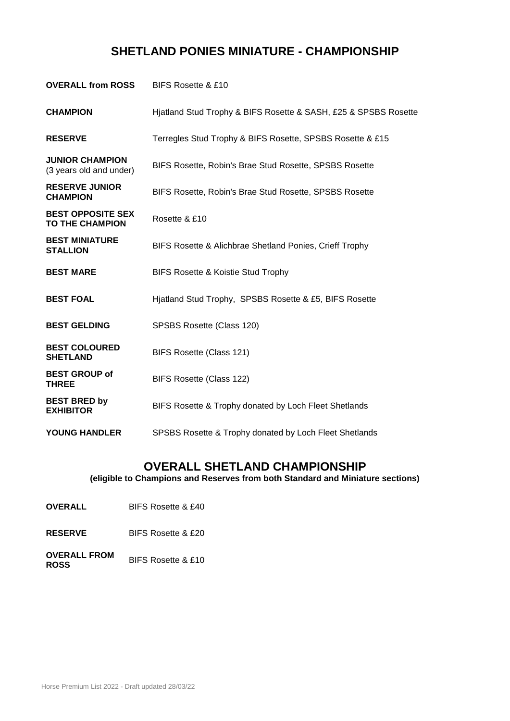## **SHETLAND PONIES MINIATURE - CHAMPIONSHIP**

| <b>OVERALL from ROSS</b>                           | BIFS Rosette & £10                                              |
|----------------------------------------------------|-----------------------------------------------------------------|
| <b>CHAMPION</b>                                    | Hjatland Stud Trophy & BIFS Rosette & SASH, £25 & SPSBS Rosette |
| <b>RESERVE</b>                                     | Terregles Stud Trophy & BIFS Rosette, SPSBS Rosette & £15       |
| <b>JUNIOR CHAMPION</b><br>(3 years old and under)  | BIFS Rosette, Robin's Brae Stud Rosette, SPSBS Rosette          |
| <b>RESERVE JUNIOR</b><br><b>CHAMPION</b>           | BIFS Rosette, Robin's Brae Stud Rosette, SPSBS Rosette          |
| <b>BEST OPPOSITE SEX</b><br><b>TO THE CHAMPION</b> | Rosette & £10                                                   |
| <b>BEST MINIATURE</b><br><b>STALLION</b>           | BIFS Rosette & Alichbrae Shetland Ponies, Crieff Trophy         |
| <b>BEST MARE</b>                                   | BIFS Rosette & Koistie Stud Trophy                              |
| <b>BEST FOAL</b>                                   | Hiatland Stud Trophy, SPSBS Rosette & £5, BIFS Rosette          |
| <b>BEST GELDING</b>                                | SPSBS Rosette (Class 120)                                       |
| <b>BEST COLOURED</b><br><b>SHETLAND</b>            | BIFS Rosette (Class 121)                                        |
| <b>BEST GROUP of</b><br><b>THREE</b>               | BIFS Rosette (Class 122)                                        |
| <b>BEST BRED by</b><br><b>EXHIBITOR</b>            | BIFS Rosette & Trophy donated by Loch Fleet Shetlands           |
| <b>YOUNG HANDLER</b>                               | SPSBS Rosette & Trophy donated by Loch Fleet Shetlands          |

## **OVERALL SHETLAND CHAMPIONSHIP**

**(eligible to Champions and Reserves from both Standard and Miniature sections)**

- **OVERALL** BIFS Rosette & £40
- **RESERVE** BIFS Rosette & £20
- **OVERALL FROM ROSS** BIFS Rosette & £10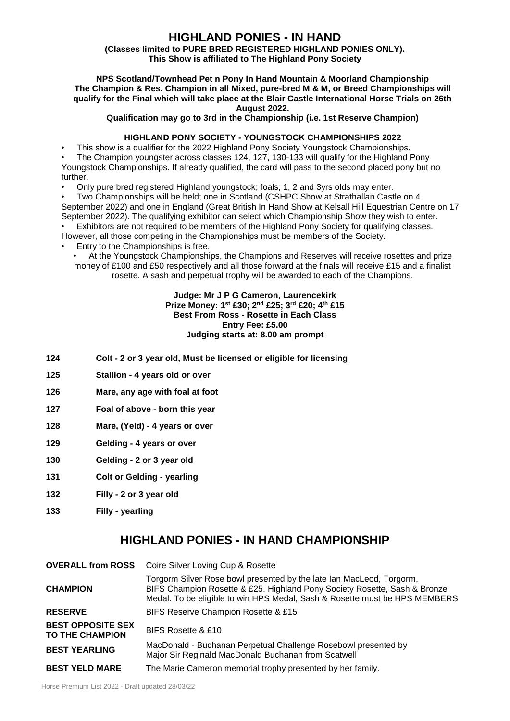## **HIGHLAND PONIES - IN HAND**

#### **(Classes limited to PURE BRED REGISTERED HIGHLAND PONIES ONLY). This Show is affiliated to The Highland Pony Society**

#### **NPS Scotland/Townhead Pet n Pony In Hand Mountain & Moorland Championship The Champion & Res. Champion in all Mixed, pure-bred M & M, or Breed Championships will qualify for the Final which will take place at the Blair Castle International Horse Trials on 26th August 2022.**

**Qualification may go to 3rd in the Championship (i.e. 1st Reserve Champion)**

#### **HIGHLAND PONY SOCIETY - YOUNGSTOCK CHAMPIONSHIPS 2022**

• This show is a qualifier for the 2022 Highland Pony Society Youngstock Championships.

• The Champion youngster across classes 124, 127, 130-133 will qualify for the Highland Pony Youngstock Championships. If already qualified, the card will pass to the second placed pony but no further.

• Only pure bred registered Highland youngstock; foals, 1, 2 and 3yrs olds may enter.

• Two Championships will be held; one in Scotland (CSHPC Show at Strathallan Castle on 4 September 2022) and one in England (Great British In Hand Show at Kelsall Hill Equestrian Centre on 17 September 2022). The qualifying exhibitor can select which Championship Show they wish to enter. • Exhibitors are not required to be members of the Highland Pony Society for qualifying classes.

However, all those competing in the Championships must be members of the Society.

- Entry to the Championships is free.
	- At the Youngstock Championships, the Champions and Reserves will receive rosettes and prize money of £100 and £50 respectively and all those forward at the finals will receive £15 and a finalist rosette. A sash and perpetual trophy will be awarded to each of the Champions.

#### **Judge: Mr J P G Cameron, Laurencekirk Prize Money: 1st £30; 2nd £25; 3rd £20; 4th £15 Best From Ross - Rosette in Each Class Entry Fee: £5.00 Judging starts at: 8.00 am prompt**

- **124 Colt - 2 or 3 year old, Must be licensed or eligible for licensing**
- **125 Stallion - 4 years old or over**
- **126 Mare, any age with foal at foot**
- **127 Foal of above - born this year**
- **128 Mare, (Yeld) - 4 years or over**
- **129 Gelding - 4 years or over**
- **130 Gelding - 2 or 3 year old**
- **131 Colt or Gelding - yearling**
- **132 Filly - 2 or 3 year old**
- **133 Filly - yearling**

## **HIGHLAND PONIES - IN HAND CHAMPIONSHIP**

|                                                    | <b>OVERALL from ROSS</b> Coire Silver Loving Cup & Rosette                                                                                                                                                                      |
|----------------------------------------------------|---------------------------------------------------------------------------------------------------------------------------------------------------------------------------------------------------------------------------------|
| <b>CHAMPION</b>                                    | Torgorm Silver Rose bowl presented by the late Ian MacLeod, Torgorm,<br>BIFS Champion Rosette & £25. Highland Pony Society Rosette, Sash & Bronze<br>Medal. To be eligible to win HPS Medal, Sash & Rosette must be HPS MEMBERS |
| <b>RESERVE</b>                                     | BIFS Reserve Champion Rosette & £15                                                                                                                                                                                             |
| <b>BEST OPPOSITE SEX</b><br><b>TO THE CHAMPION</b> | BIFS Rosette & £10                                                                                                                                                                                                              |
| <b>BEST YEARLING</b>                               | MacDonald - Buchanan Perpetual Challenge Rosebowl presented by<br>Major Sir Reginald MacDonald Buchanan from Scatwell                                                                                                           |
| <b>BEST YELD MARE</b>                              | The Marie Cameron memorial trophy presented by her family.                                                                                                                                                                      |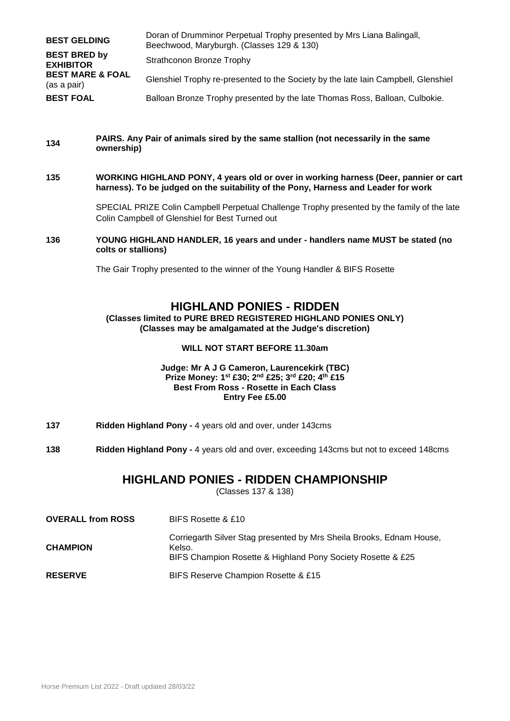| <b>BEST GELDING</b>                        | Doran of Drumminor Perpetual Trophy presented by Mrs Liana Balingall,<br>Beechwood, Maryburgh. (Classes 129 & 130) |
|--------------------------------------------|--------------------------------------------------------------------------------------------------------------------|
| <b>BEST BRED by</b><br><b>EXHIBITOR</b>    | Strathconon Bronze Trophy                                                                                          |
| <b>BEST MARE &amp; FOAL</b><br>(as a pair) | Glenshiel Trophy re-presented to the Society by the late lain Campbell, Glenshiel                                  |
| <b>BEST FOAL</b>                           | Balloan Bronze Trophy presented by the late Thomas Ross, Balloan, Culbokie.                                        |

#### **<sup>134</sup> PAIRS. Any Pair of animals sired by the same stallion (not necessarily in the same ownership)**

**135 WORKING HIGHLAND PONY, 4 years old or over in working harness (Deer, pannier or cart harness). To be judged on the suitability of the Pony, Harness and Leader for work**

> SPECIAL PRIZE Colin Campbell Perpetual Challenge Trophy presented by the family of the late Colin Campbell of Glenshiel for Best Turned out

**136 YOUNG HIGHLAND HANDLER, 16 years and under - handlers name MUST be stated (no colts or stallions)**

The Gair Trophy presented to the winner of the Young Handler & BIFS Rosette

### **HIGHLAND PONIES - RIDDEN**

**(Classes limited to PURE BRED REGISTERED HIGHLAND PONIES ONLY) (Classes may be amalgamated at the Judge's discretion)**

#### **WILL NOT START BEFORE 11.30am**

#### **Judge: Mr A J G Cameron, Laurencekirk (TBC) Prize Money: 1st £30; 2nd £25; 3rd £20; 4th £15 Best From Ross - Rosette in Each Class Entry Fee £5.00**

- **137 Ridden Highland Pony -** 4 years old and over, under 143cms
- **138 Ridden Highland Pony -** 4 years old and over, exceeding 143cms but not to exceed 148cms

#### **HIGHLAND PONIES - RIDDEN CHAMPIONSHIP**

(Classes 137 & 138)

| <b>OVERALL from ROSS</b> | BIFS Rosette & £10                                                                                                                            |
|--------------------------|-----------------------------------------------------------------------------------------------------------------------------------------------|
| <b>CHAMPION</b>          | Corriegarth Silver Stag presented by Mrs Sheila Brooks, Ednam House,<br>Kelso.<br>BIFS Champion Rosette & Highland Pony Society Rosette & £25 |
| <b>RESERVE</b>           | BIFS Reserve Champion Rosette & £15                                                                                                           |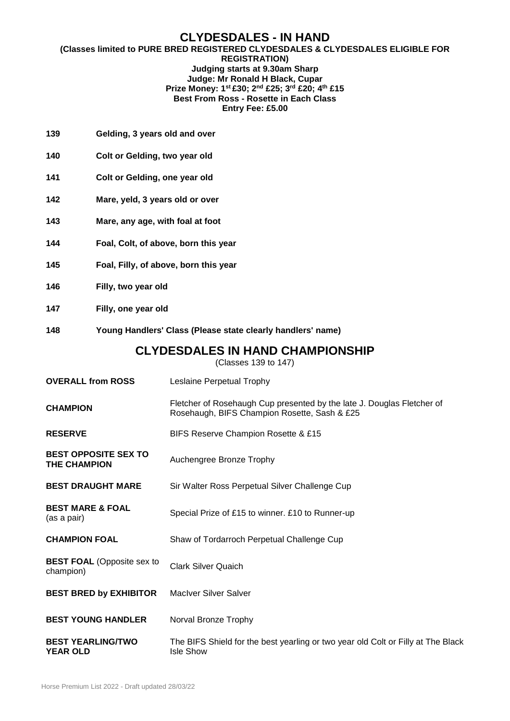#### **CLYDESDALES - IN HAND**

#### **(Classes limited to PURE BRED REGISTERED CLYDESDALES & CLYDESDALES ELIGIBLE FOR REGISTRATION) Judging starts at 9.30am Sharp Judge: Mr Ronald H Black, Cupar Prize Money: 1st £30; 2nd £25; 3rd £20; 4th £15 Best From Ross - Rosette in Each Class Entry Fee: £5.00**

- **139 Gelding, 3 years old and over**
- **140 Colt or Gelding, two year old**
- **141 Colt or Gelding, one year old**
- **142 Mare, yeld, 3 years old or over**
- **143 Mare, any age, with foal at foot**
- **144 Foal, Colt, of above, born this year**
- **145 Foal, Filly, of above, born this year**
- **146 Filly, two year old**
- **147 Filly, one year old**
- **148 Young Handlers' Class (Please state clearly handlers' name)**

#### **CLYDESDALES IN HAND CHAMPIONSHIP**

(Classes 139 to 147)

| <b>OVERALL from ROSS</b>                           | Leslaine Perpetual Trophy                                                                                              |
|----------------------------------------------------|------------------------------------------------------------------------------------------------------------------------|
| <b>CHAMPION</b>                                    | Fletcher of Rosehaugh Cup presented by the late J. Douglas Fletcher of<br>Rosehaugh, BIFS Champion Rosette, Sash & £25 |
| <b>RESERVE</b>                                     | BIFS Reserve Champion Rosette & £15                                                                                    |
| <b>BEST OPPOSITE SEX TO</b><br><b>THE CHAMPION</b> | Auchengree Bronze Trophy                                                                                               |
| <b>BEST DRAUGHT MARE</b>                           | Sir Walter Ross Perpetual Silver Challenge Cup                                                                         |
| <b>BEST MARE &amp; FOAL</b><br>(as a pair)         | Special Prize of £15 to winner. £10 to Runner-up                                                                       |
| <b>CHAMPION FOAL</b>                               | Shaw of Tordarroch Perpetual Challenge Cup                                                                             |
| <b>BEST FOAL (Opposite sex to</b><br>champion)     | <b>Clark Silver Quaich</b>                                                                                             |
| <b>BEST BRED by EXHIBITOR</b>                      | MacIver Silver Salver                                                                                                  |
| <b>BEST YOUNG HANDLER</b>                          | Norval Bronze Trophy                                                                                                   |
| <b>BEST YEARLING/TWO</b><br><b>YEAR OLD</b>        | The BIFS Shield for the best yearling or two year old Colt or Filly at The Black<br><b>Isle Show</b>                   |